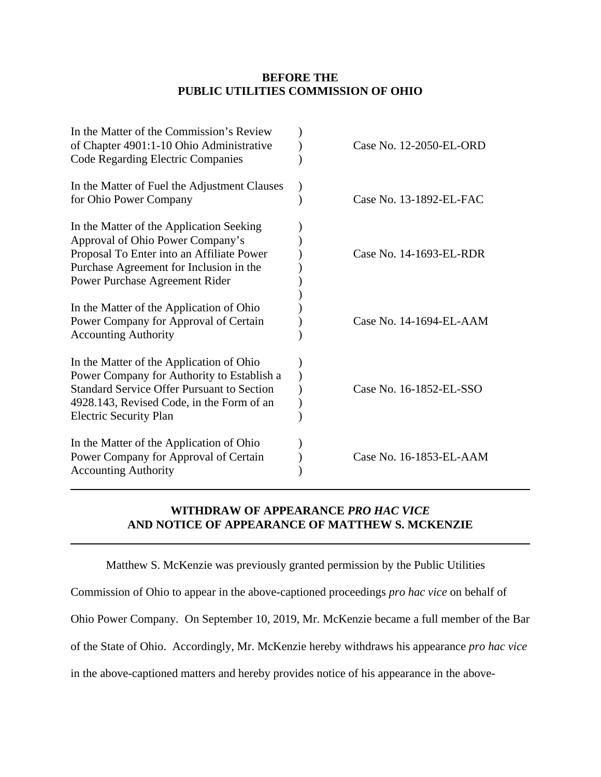## **BEFORE THE PUBLIC UTILITIES COMMISSION OF OHIO**

| In the Matter of the Commission's Review<br>of Chapter 4901:1-10 Ohio Administrative<br>Code Regarding Electric Companies                                                                                                 | Case No. 12-2050-EL-ORD |
|---------------------------------------------------------------------------------------------------------------------------------------------------------------------------------------------------------------------------|-------------------------|
| In the Matter of Fuel the Adjustment Clauses<br>for Ohio Power Company                                                                                                                                                    | Case No. 13-1892-EL-FAC |
| In the Matter of the Application Seeking<br>Approval of Ohio Power Company's<br>Proposal To Enter into an Affiliate Power<br>Purchase Agreement for Inclusion in the<br>Power Purchase Agreement Rider                    | Case No. 14-1693-EL-RDR |
| In the Matter of the Application of Ohio<br>Power Company for Approval of Certain<br><b>Accounting Authority</b>                                                                                                          | Case No. 14-1694-EL-AAM |
| In the Matter of the Application of Ohio<br>Power Company for Authority to Establish a<br><b>Standard Service Offer Pursuant to Section</b><br>4928.143, Revised Code, in the Form of an<br><b>Electric Security Plan</b> | Case No. 16-1852-EL-SSO |
| In the Matter of the Application of Ohio<br>Power Company for Approval of Certain<br><b>Accounting Authority</b>                                                                                                          | Case No. 16-1853-EL-AAM |

## **WITHDRAW OF APPEARANCE** *PRO HAC VICE*  **AND NOTICE OF APPEARANCE OF MATTHEW S. MCKENZIE**

Matthew S. McKenzie was previously granted permission by the Public Utilities

Commission of Ohio to appear in the above-captioned proceedings *pro hac vice* on behalf of

Ohio Power Company*.* On September 10, 2019, Mr. McKenzie became a full member of the Bar

of the State of Ohio. Accordingly, Mr. McKenzie hereby withdraws his appearance *pro hac vice*

in the above-captioned matters and hereby provides notice of his appearance in the above-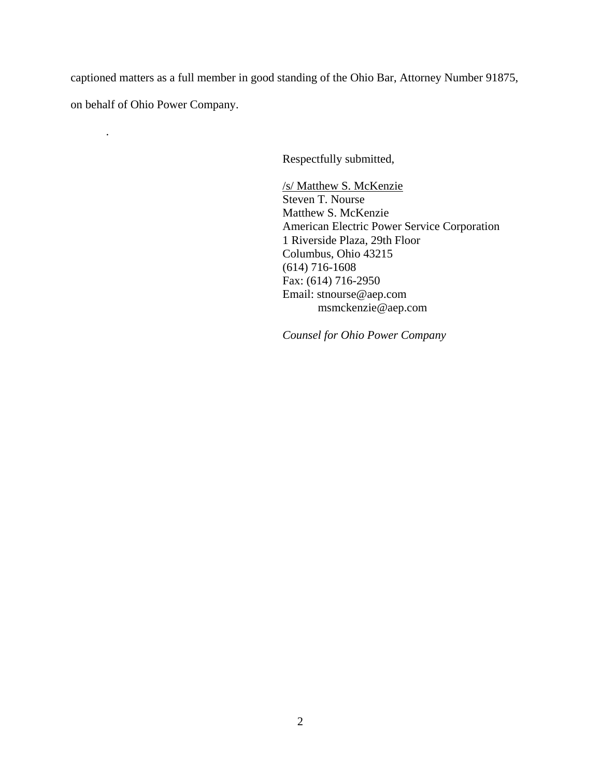captioned matters as a full member in good standing of the Ohio Bar, Attorney Number 91875,

on behalf of Ohio Power Company.

.

Respectfully submitted,

/s/ Matthew S. McKenzie Steven T. Nourse Matthew S. McKenzie American Electric Power Service Corporation 1 Riverside Plaza, 29th Floor Columbus, Ohio 43215 (614) 716-1608 Fax: (614) 716-2950 Email: stnourse@aep.com msmckenzie@aep.com

*Counsel for Ohio Power Company*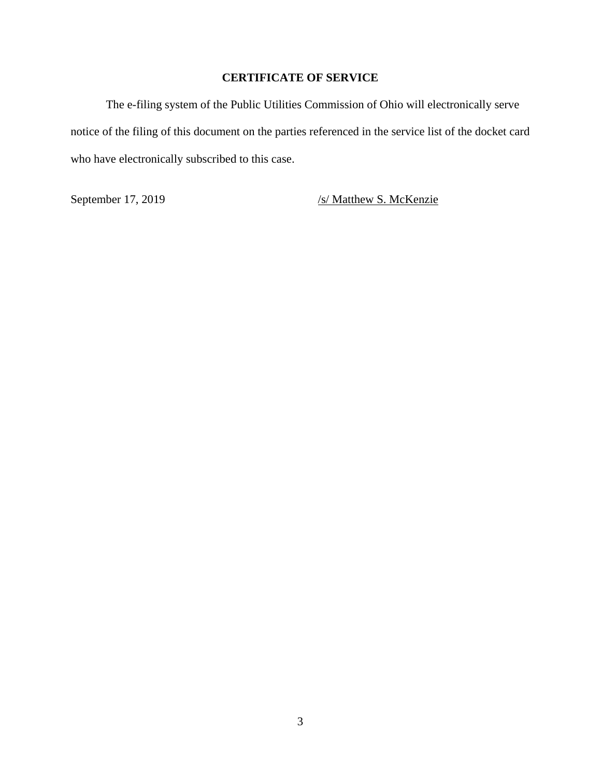## **CERTIFICATE OF SERVICE**

The e-filing system of the Public Utilities Commission of Ohio will electronically serve notice of the filing of this document on the parties referenced in the service list of the docket card who have electronically subscribed to this case.

September 17, 2019 /s/ Matthew S. McKenzie